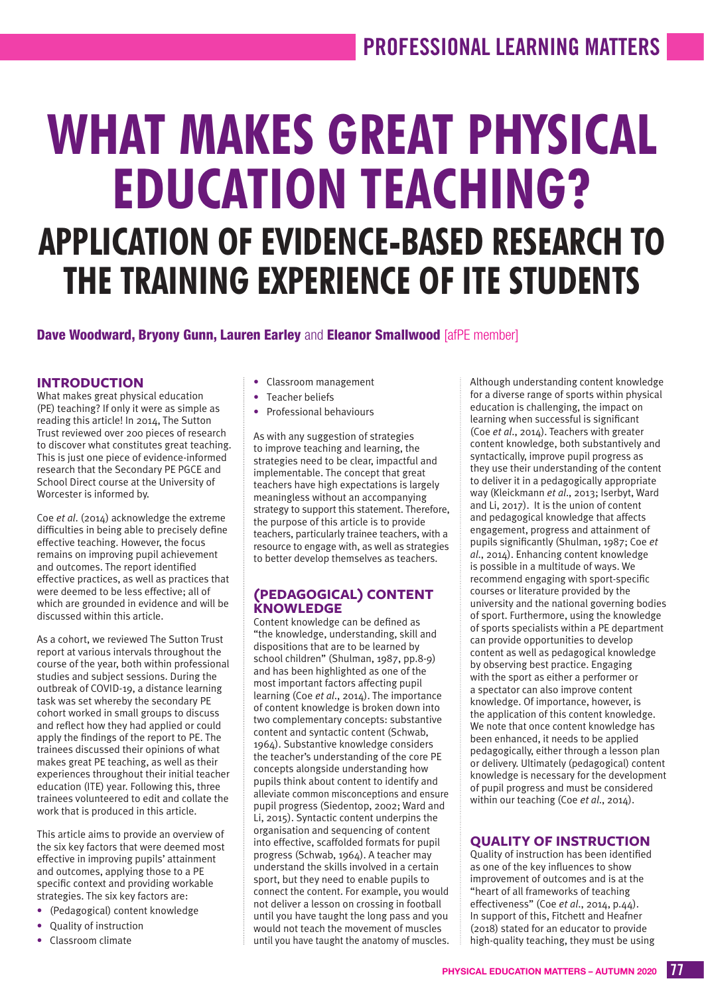# **WHAT MAKES GREAT PHYSICAL EDUCATION TEACHING? APPLICATION OF EVIDENCE-BASED RESEARCH TO THE TRAINING EXPERIENCE OF ITE STUDENTS**

#### Dave Woodward, Brvony Gunn, Lauren Earley and Eleanor Smallwood [afPE member]

#### **INTRODUCTION**

What makes great physical education (PE) teaching? If only it were as simple as reading this article! In 2014, The Sutton Trust reviewed over 200 pieces of research to discover what constitutes great teaching. This is just one piece of evidence-informed research that the Secondary PE PGCE and School Direct course at the University of Worcester is informed by.

Coe *et al*. (2014) acknowledge the extreme difficulties in being able to precisely define effective teaching. However, the focus remains on improving pupil achievement and outcomes. The report identified effective practices, as well as practices that were deemed to be less effective; all of which are grounded in evidence and will be discussed within this article.

As a cohort, we reviewed The Sutton Trust report at various intervals throughout the course of the year, both within professional studies and subject sessions. During the outbreak of COVID-19, a distance learning task was set whereby the secondary PE cohort worked in small groups to discuss and reflect how they had applied or could apply the findings of the report to PE. The trainees discussed their opinions of what makes great PE teaching, as well as their experiences throughout their initial teacher education (ITE) year. Following this, three trainees volunteered to edit and collate the work that is produced in this article.

This article aims to provide an overview of the six key factors that were deemed most effective in improving pupils' attainment and outcomes, applying those to a PE specific context and providing workable strategies. The six key factors are:

- (Pedagogical) content knowledge
- Quality of instruction
- Classroom climate
- Classroom management
- Teacher beliefs
- Professional behaviours

As with any suggestion of strategies to improve teaching and learning, the strategies need to be clear, impactful and implementable. The concept that great teachers have high expectations is largely meaningless without an accompanying strategy to support this statement. Therefore, the purpose of this article is to provide teachers, particularly trainee teachers, with a resource to engage with, as well as strategies to better develop themselves as teachers.

#### **(PEDAGOGICAL) CONTENT KNOWLEDGE**

Content knowledge can be defined as "the knowledge, understanding, skill and dispositions that are to be learned by school children" (Shulman, 1987, pp.8-9) and has been highlighted as one of the most important factors affecting pupil learning (Coe *et al*., 2014). The importance of content knowledge is broken down into two complementary concepts: substantive content and syntactic content (Schwab, 1964). Substantive knowledge considers the teacher's understanding of the core PE concepts alongside understanding how pupils think about content to identify and alleviate common misconceptions and ensure pupil progress (Siedentop, 2002; Ward and Li, 2015). Syntactic content underpins the organisation and sequencing of content into effective, scaffolded formats for pupil progress (Schwab, 1964). A teacher may understand the skills involved in a certain sport, but they need to enable pupils to connect the content. For example, you would not deliver a lesson on crossing in football until you have taught the long pass and you would not teach the movement of muscles until you have taught the anatomy of muscles.

Although understanding content knowledge for a diverse range of sports within physical education is challenging, the impact on learning when successful is significant (Coe *et al*., 2014). Teachers with greater content knowledge, both substantively and syntactically, improve pupil progress as they use their understanding of the content to deliver it in a pedagogically appropriate way (Kleickmann *et al*., 2013; Iserbyt, Ward and Li, 2017). It is the union of content and pedagogical knowledge that affects engagement, progress and attainment of pupils significantly (Shulman, 1987; Coe *et al*., 2014). Enhancing content knowledge is possible in a multitude of ways. We recommend engaging with sport-specific courses or literature provided by the university and the national governing bodies of sport. Furthermore, using the knowledge of sports specialists within a PE department can provide opportunities to develop content as well as pedagogical knowledge by observing best practice. Engaging with the sport as either a performer or a spectator can also improve content knowledge. Of importance, however, is the application of this content knowledge. We note that once content knowledge has been enhanced, it needs to be applied pedagogically, either through a lesson plan or delivery. Ultimately (pedagogical) content knowledge is necessary for the development of pupil progress and must be considered within our teaching (Coe *et al*., 2014).

#### **QUALITY OF INSTRUCTION**

Quality of instruction has been identified as one of the key influences to show improvement of outcomes and is at the "heart of all frameworks of teaching effectiveness" (Coe *et al*., 2014, p.44). In support of this, Fitchett and Heafner (2018) stated for an educator to provide high-quality teaching, they must be using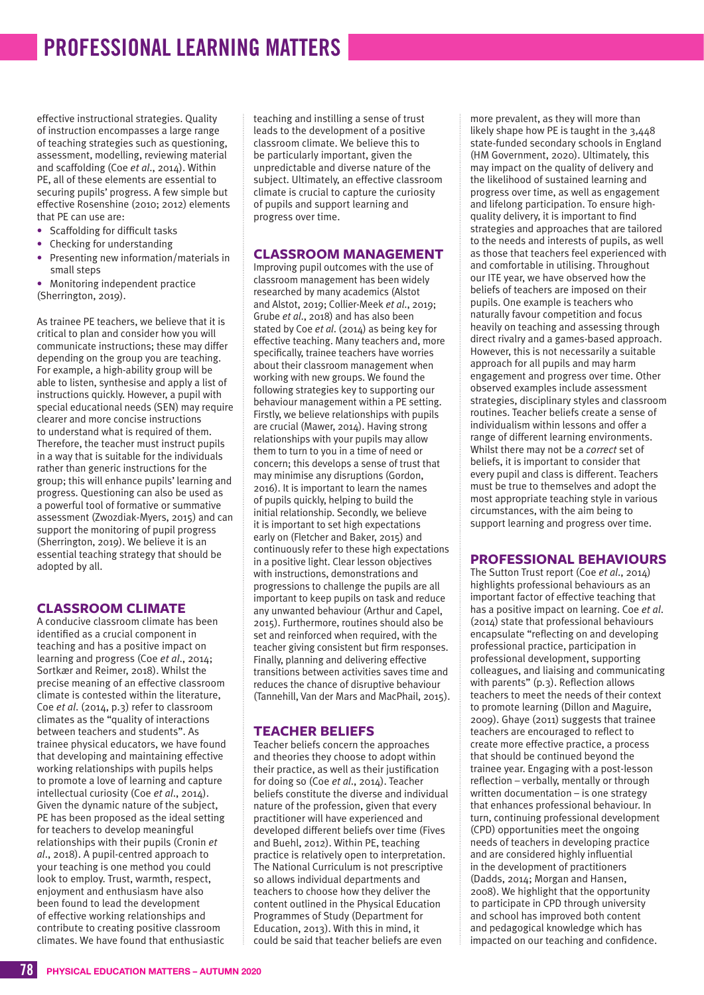## **PROFESSIONAL LEARNING MATTERS**

effective instructional strategies. Quality of instruction encompasses a large range of teaching strategies such as questioning, assessment, modelling, reviewing material and scaffolding (Coe *et al*., 2014). Within PE, all of these elements are essential to securing pupils' progress. A few simple but effective Rosenshine (2010; 2012) elements that PE can use are:

- Scaffolding for difficult tasks
- Checking for understanding
- Presenting new information/materials in small steps
- Monitoring independent practice (Sherrington, 2019).

As trainee PE teachers, we believe that it is critical to plan and consider how you will communicate instructions; these may differ depending on the group you are teaching. For example, a high-ability group will be able to listen, synthesise and apply a list of instructions quickly. However, a pupil with special educational needs (SEN) may require clearer and more concise instructions to understand what is required of them. Therefore, the teacher must instruct pupils in a way that is suitable for the individuals rather than generic instructions for the group; this will enhance pupils' learning and progress. Questioning can also be used as a powerful tool of formative or summative assessment (Zwozdiak-Myers, 2015) and can support the monitoring of pupil progress (Sherrington, 2019). We believe it is an essential teaching strategy that should be adopted by all.

#### **CLASSROOM CLIMATE**

A conducive classroom climate has been identified as a crucial component in teaching and has a positive impact on learning and progress (Coe *et al*., 2014; Sortkær and Reimer, 2018). Whilst the precise meaning of an effective classroom climate is contested within the literature, Coe *et al*. (2014, p.3) refer to classroom climates as the "quality of interactions between teachers and students". As trainee physical educators, we have found that developing and maintaining effective working relationships with pupils helps to promote a love of learning and capture intellectual curiosity (Coe *et al*., 2014). Given the dynamic nature of the subject, PE has been proposed as the ideal setting for teachers to develop meaningful relationships with their pupils (Cronin *et al*., 2018). A pupil-centred approach to your teaching is one method you could look to employ. Trust, warmth, respect, enjoyment and enthusiasm have also been found to lead the development of effective working relationships and contribute to creating positive classroom climates. We have found that enthusiastic

teaching and instilling a sense of trust leads to the development of a positive classroom climate. We believe this to be particularly important, given the unpredictable and diverse nature of the subject. Ultimately, an effective classroom climate is crucial to capture the curiosity of pupils and support learning and progress over time.

#### **CLASSROOM MANAGEMENT**

Improving pupil outcomes with the use of classroom management has been widely researched by many academics (Alstot and Alstot, 2019; Collier-Meek *et al*., 2019; Grube *et al*., 2018) and has also been stated by Coe *et al*. (2014) as being key for effective teaching. Many teachers and, more specifically, trainee teachers have worries about their classroom management when working with new groups. We found the following strategies key to supporting our behaviour management within a PE setting. Firstly, we believe relationships with pupils are crucial (Mawer, 2014). Having strong relationships with your pupils may allow them to turn to you in a time of need or concern; this develops a sense of trust that may minimise any disruptions (Gordon, 2016). It is important to learn the names of pupils quickly, helping to build the initial relationship. Secondly, we believe it is important to set high expectations early on (Fletcher and Baker, 2015) and continuously refer to these high expectations in a positive light. Clear lesson objectives with instructions, demonstrations and progressions to challenge the pupils are all important to keep pupils on task and reduce any unwanted behaviour (Arthur and Capel, 2015). Furthermore, routines should also be set and reinforced when required, with the teacher giving consistent but firm responses. Finally, planning and delivering effective transitions between activities saves time and reduces the chance of disruptive behaviour (Tannehill, Van der Mars and MacPhail, 2015).

#### **TEACHER BELIEFS**

Teacher beliefs concern the approaches and theories they choose to adopt within their practice, as well as their justification for doing so (Coe *et al*., 2014). Teacher beliefs constitute the diverse and individual nature of the profession, given that every practitioner will have experienced and developed different beliefs over time (Fives and Buehl, 2012). Within PE, teaching practice is relatively open to interpretation. The National Curriculum is not prescriptive so allows individual departments and teachers to choose how they deliver the content outlined in the Physical Education Programmes of Study (Department for Education, 2013). With this in mind, it could be said that teacher beliefs are even

more prevalent, as they will more than likely shape how PE is taught in the 3,448 state-funded secondary schools in England (HM Government, 2020). Ultimately, this may impact on the quality of delivery and the likelihood of sustained learning and progress over time, as well as engagement and lifelong participation. To ensure highquality delivery, it is important to find strategies and approaches that are tailored to the needs and interests of pupils, as well as those that teachers feel experienced with and comfortable in utilising. Throughout our ITE year, we have observed how the beliefs of teachers are imposed on their pupils. One example is teachers who naturally favour competition and focus heavily on teaching and assessing through direct rivalry and a games-based approach. However, this is not necessarily a suitable approach for all pupils and may harm engagement and progress over time. Other observed examples include assessment strategies, disciplinary styles and classroom routines. Teacher beliefs create a sense of individualism within lessons and offer a range of different learning environments. Whilst there may not be a *correct* set of beliefs, it is important to consider that every pupil and class is different. Teachers must be true to themselves and adopt the most appropriate teaching style in various circumstances, with the aim being to support learning and progress over time.

#### **PROFESSIONAL BEHAVIOURS**

The Sutton Trust report (Coe *et al*., 2014) highlights professional behaviours as an important factor of effective teaching that has a positive impact on learning. Coe *et al*. (2014) state that professional behaviours encapsulate "reflecting on and developing professional practice, participation in professional development, supporting colleagues, and liaising and communicating with parents" (p.3). Reflection allows teachers to meet the needs of their context to promote learning (Dillon and Maguire, 2009). Ghaye (2011) suggests that trainee teachers are encouraged to reflect to create more effective practice, a process that should be continued beyond the trainee year. Engaging with a post-lesson reflection – verbally, mentally or through written documentation – is one strategy that enhances professional behaviour. In turn, continuing professional development (CPD) opportunities meet the ongoing needs of teachers in developing practice and are considered highly influential in the development of practitioners (Dadds, 2014; Morgan and Hansen, 2008). We highlight that the opportunity to participate in CPD through university and school has improved both content and pedagogical knowledge which has impacted on our teaching and confidence.